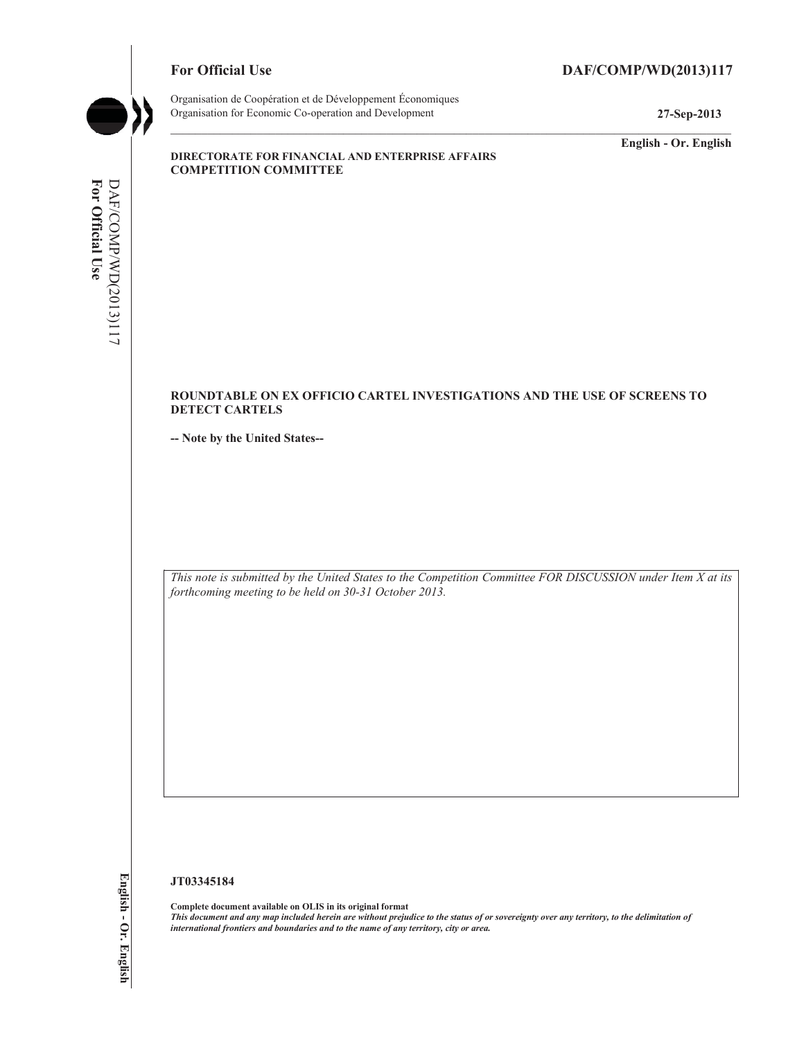# For Official Use DAF/COMP/WD(2013)117



Organisation de Coopération et de Développement Économiques Organisation for Economic Co-operation and Development **27-Sep-2013** 

**English - Or. English** 

#### **DIRECTORATE FOR FINANCIAL AND ENTERPRISE AFFAIRS COMPETITION COMMITTEE**

#### **ROUNDTABLE ON EX OFFICIO CARTEL INVESTIGATIONS AND THE USE OF SCREENS TO DETECT CARTELS**

**-- Note by the United States--** 

 *forthcoming meeting to be held on 30-31 October 2013. This note is submitted by the United States to the Competition Committee FOR DISCUSSION under Item X at its* 

#### **JT03345184**

 **Complete document available on OLIS in its original format**   *This document and any map included herein are without prejudice to the status of or sovereignty over any territory, to the delimitation of international frontiers and boundaries and to the name of any territory, city or area.*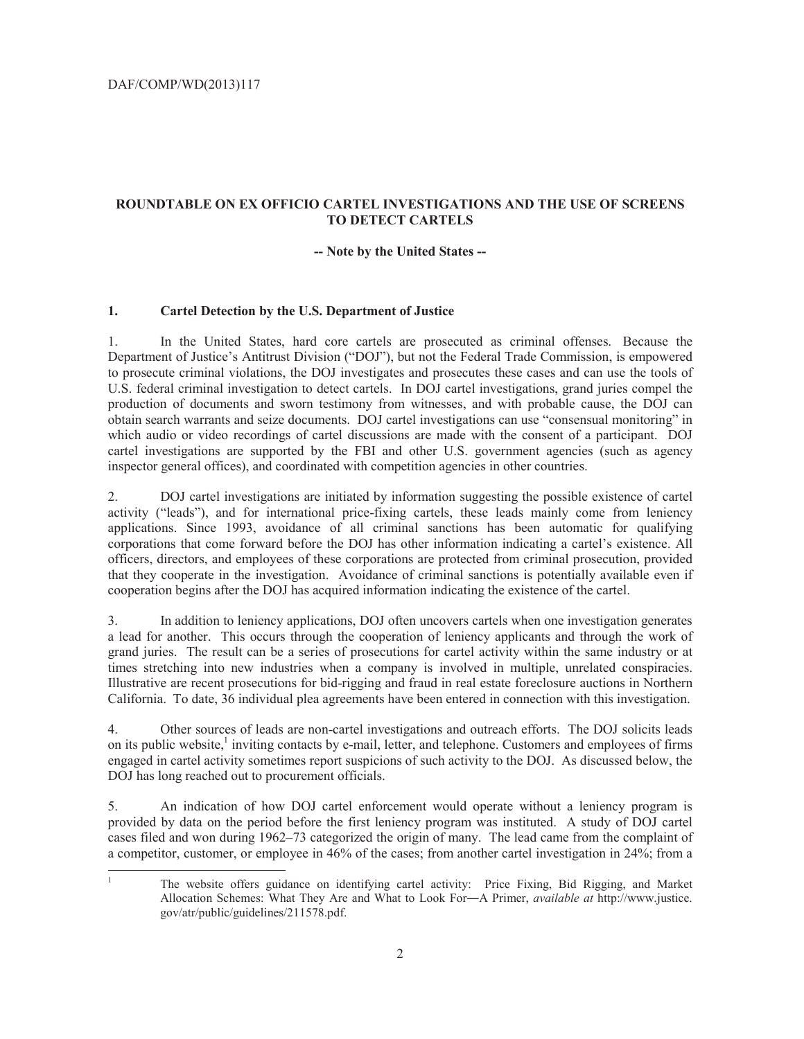$\overline{a}$ 

## **ROUNDTABLE ON EX OFFICIO CARTEL INVESTIGATIONS AND THE USE OF SCREENS TO DETECT CARTELS**

#### **-- Note by the United States --**

#### **1. Cartel Detection by the U.S. Department of Justice**

 production of documents and sworn testimony from witnesses, and with probable cause, the DOJ can 1. In the United States, hard core cartels are prosecuted as criminal offenses. Because the Department of Justice's Antitrust Division ("DOJ"), but not the Federal Trade Commission, is empowered to prosecute criminal violations, the DOJ investigates and prosecutes these cases and can use the tools of U.S. federal criminal investigation to detect cartels. In DOJ cartel investigations, grand juries compel the obtain search warrants and seize documents. DOJ cartel investigations can use "consensual monitoring" in which audio or video recordings of cartel discussions are made with the consent of a participant. DOJ cartel investigations are supported by the FBI and other U.S. government agencies (such as agency inspector general offices), and coordinated with competition agencies in other countries.

cooperation begins after the DOJ has acquired information indicating the existence of the cartel. 2. DOJ cartel investigations are initiated by information suggesting the possible existence of cartel activity ("leads"), and for international price-fixing cartels, these leads mainly come from leniency applications. Since 1993, avoidance of all criminal sanctions has been automatic for qualifying corporations that come forward before the DOJ has other information indicating a cartel's existence. All officers, directors, and employees of these corporations are protected from criminal prosecution, provided that they cooperate in the investigation. Avoidance of criminal sanctions is potentially available even if

times stretching into new industries when a company is involved in multiple, unrelated conspiracies. California. To date, 36 individual plea agreements have been entered in connection with this investigation. 3. In addition to leniency applications, DOJ often uncovers cartels when one investigation generates a lead for another. This occurs through the cooperation of leniency applicants and through the work of grand juries. The result can be a series of prosecutions for cartel activity within the same industry or at Illustrative are recent prosecutions for bid-rigging and fraud in real estate foreclosure auctions in Northern

4. Other sources of leads are non-cartel investigations and outreach efforts. The DOJ solicits leads on its public website,<sup>1</sup> inviting contacts by e-mail, letter, and telephone. Customers and employees of firms engaged in cartel activity sometimes report suspicions of such activity to the DOJ. As discussed below, the DOJ has long reached out to procurement officials.

5. An indication of how DOJ cartel enforcement would operate without a leniency program is provided by data on the period before the first leniency program was instituted. A study of DOJ cartel cases filed and won during 1962–73 categorized the origin of many. The lead came from the complaint of a competitor, customer, or employee in 46% of the cases; from another cartel investigation in 24%; from a

 1 The website offers guidance on identifying cartel activity: Price Fixing, Bid Rigging, and Market Allocation Schemes: What They Are and What to Look For-A Primer, *available at* http://www.justice. gov/atr/public/guidelines/211578.pdf.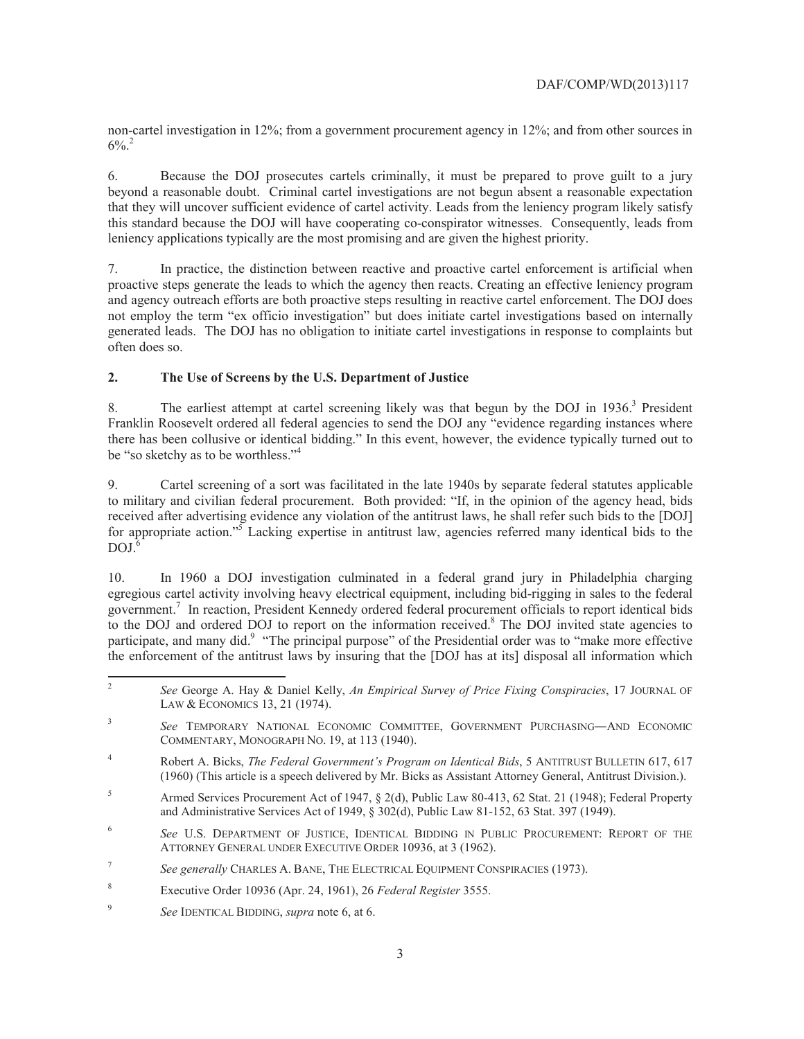non-cartel investigation in 12%; from a government procurement agency in 12%; and from other sources in  $6\%$ <sup>2</sup>

6. Because the DOJ prosecutes cartels criminally, it must be prepared to prove guilt to a jury beyond a reasonable doubt. Criminal cartel investigations are not begun absent a reasonable expectation that they will uncover sufficient evidence of cartel activity. Leads from the leniency program likely satisfy this standard because the DOJ will have cooperating co-conspirator witnesses. Consequently, leads from leniency applications typically are the most promising and are given the highest priority.

 7. In practice, the distinction between reactive and proactive cartel enforcement is artificial when generated leads. The DOJ has no obligation to initiate cartel investigations in response to complaints but proactive steps generate the leads to which the agency then reacts. Creating an effective leniency program and agency outreach efforts are both proactive steps resulting in reactive cartel enforcement. The DOJ does not employ the term "ex officio investigation" but does initiate cartel investigations based on internally often does so.

## **2. The Use of Screens by the U.S. Department of Justice**

be "so sketchy as to be worthless."<sup>4</sup> 8. The earliest attempt at cartel screening likely was that begun by the DOJ in 1936.<sup>3</sup> President Franklin Roosevelt ordered all federal agencies to send the DOJ any "evidence regarding instances where there has been collusive or identical bidding." In this event, however, the evidence typically turned out to

for appropriate action."<sup>5</sup> Lacking expertise in antitrust law, agencies referred many identical bids to the  $DOJ<sup>6</sup>$ 9. Cartel screening of a sort was facilitated in the late 1940s by separate federal statutes applicable to military and civilian federal procurement. Both provided: "If, in the opinion of the agency head, bids received after advertising evidence any violation of the antitrust laws, he shall refer such bids to the [DOJ]

10. In 1960 a DOJ investigation culminated in a federal grand jury in Philadelphia charging egregious cartel activity involving heavy electrical equipment, including bid-rigging in sales to the federal government.7 In reaction, President Kennedy ordered federal procurement officials to report identical bids to the DOJ and ordered DOJ to report on the information received.<sup>8</sup> The DOJ invited state agencies to participate, and many did.<sup>9</sup> "The principal purpose" of the Presidential order was to "make more effective the enforcement of the antitrust laws by insuring that the [DOJ has at its] disposal all information which

 $\overline{a}$ 

<sup>2</sup>*See* George A. Hay & Daniel Kelly, *An Empirical Survey of Price Fixing Conspiracies*, 17 JOURNAL OF LAW & ECONOMICS 13, 21 (1974).

 $\overline{\mathbf{3}}$ See TEMPORARY NATIONAL ECONOMIC COMMITTEE, GOVERNMENT PURCHASING-AND ECONOMIC COMMENTARY, MONOGRAPH NO. 19, at 113 (1940).

<sup>4</sup> Robert A. Bicks, *The Federal Government's Program on Identical Bids*, 5 ANTITRUST BULLETIN 617, 617 (1960) (This article is a speech delivered by Mr. Bicks as Assistant Attorney General, Antitrust Division.).

<sup>5</sup> Armed Services Procurement Act of 1947, § 2(d), Public Law 80-413, 62 Stat. 21 (1948); Federal Property and Administrative Services Act of 1949, § 302(d), Public Law 81-152, 63 Stat. 397 (1949).

 ATTORNEY GENERAL UNDER EXECUTIVE ORDER 10936, at 3 (1962). <sup>6</sup>*See* U.S. DEPARTMENT OF JUSTICE, IDENTICAL BIDDING IN PUBLIC PROCUREMENT: REPORT OF THE

<sup>7</sup>*See generally* CHARLES A. BANE, THE ELECTRICAL EQUIPMENT CONSPIRACIES (1973).

<sup>8</sup> Executive Order 10936 (Apr. 24, 1961), 26 *Federal Register* 3555.

<sup>9</sup>*See* IDENTICAL BIDDING, *supra* note 6, at 6.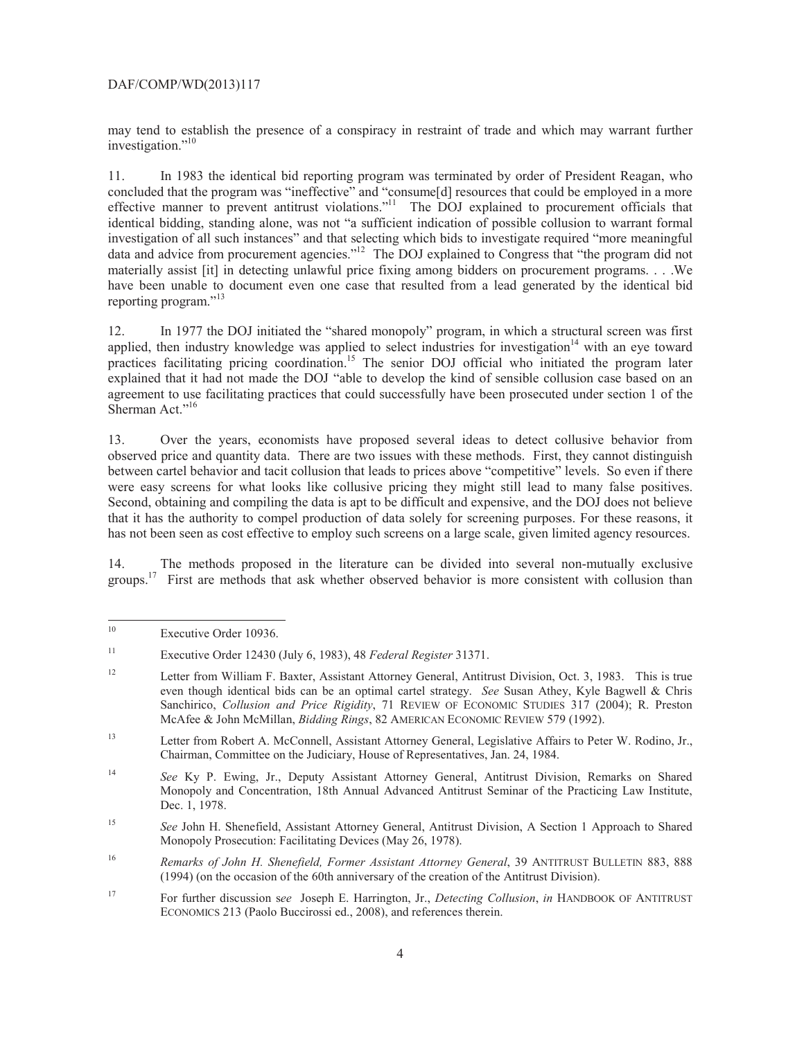## DAF/COMP/WD(2013)117

investigation."<sup>10</sup> may tend to establish the presence of a conspiracy in restraint of trade and which may warrant further

reporting program."<sup>13</sup> 11. In 1983 the identical bid reporting program was terminated by order of President Reagan, who concluded that the program was "ineffective" and "consume[d] resources that could be employed in a more effective manner to prevent antitrust violations."<sup>11</sup> The DOJ explained to procurement officials that identical bidding, standing alone, was not "a sufficient indication of possible collusion to warrant formal investigation of all such instances" and that selecting which bids to investigate required "more meaningful data and advice from procurement agencies."<sup>12</sup> The DOJ explained to Congress that "the program did not materially assist [it] in detecting unlawful price fixing among bidders on procurement programs. . . .We have been unable to document even one case that resulted from a lead generated by the identical bid

practices facilitating pricing coordination.<sup>15</sup> The senior DOJ official who initiated the program later Sherman Act."<sup>16</sup> 12. In 1977 the DOJ initiated the "shared monopoly" program, in which a structural screen was first applied, then industry knowledge was applied to select industries for investigation $14$  with an eye toward explained that it had not made the DOJ "able to develop the kind of sensible collusion case based on an agreement to use facilitating practices that could successfully have been prosecuted under section 1 of the

were easy screens for what looks like collusive pricing they might still lead to many false positives. 13. Over the years, economists have proposed several ideas to detect collusive behavior from observed price and quantity data. There are two issues with these methods. First, they cannot distinguish between cartel behavior and tacit collusion that leads to prices above "competitive" levels. So even if there Second, obtaining and compiling the data is apt to be difficult and expensive, and the DOJ does not believe that it has the authority to compel production of data solely for screening purposes. For these reasons, it has not been seen as cost effective to employ such screens on a large scale, given limited agency resources.

14. The methods proposed in the literature can be divided into several non-mutually exclusive groups.17 First are methods that ask whether observed behavior is more consistent with collusion than

 $\overline{a}$ 

Executive Order 10936.

 $11\,$ 11 Executive Order 12430 (July 6, 1983), 48 *Federal Register* 31371.

 $12$ McAfee & John McMillan, Bidding Rings, 82 AMERICAN ECONOMIC REVIEW 579 (1992). 12 Letter from William F. Baxter, Assistant Attorney General, Antitrust Division, Oct. 3, 1983. This is true even though identical bids can be an optimal cartel strategy. *See* Susan Athey, Kyle Bagwell & Chris Sanchirico, *Collusion and Price Rigidity*, 71 REVIEW OF ECONOMIC STUDIES 317 (2004); R. Preston

 $13$ Letter from Robert A. McConnell, Assistant Attorney General, Legislative Affairs to Peter W. Rodino, Jr., Chairman, Committee on the Judiciary, House of Representatives, Jan. 24, 1984.

 $14$  Monopoly and Concentration, 18th Annual Advanced Antitrust Seminar of the Practicing Law Institute, <sup>14</sup>*See* Ky P. Ewing, Jr., Deputy Assistant Attorney General, Antitrust Division, Remarks on Shared Dec. 1, 1978.

<sup>15</sup> Monopoly Prosecution: Facilitating Devices (May 26, 1978). <sup>15</sup>*See* John H. Shenefield, Assistant Attorney General, Antitrust Division, A Section 1 Approach to Shared

<sup>16</sup> Remarks of John H. Shenefield, Former Assistant Attorney General, 39 ANTITRUST BULLETIN 883, 888 (1994) (on the occasion of the 60th anniversary of the creation of the Antitrust Division).

<sup>17</sup> 17 For further discussion s*ee* Joseph E. Harrington, Jr., *Detecting Collusion*, *in* HANDBOOK OF ANTITRUST ECONOMICS 213 (Paolo Buccirossi ed., 2008), and references therein.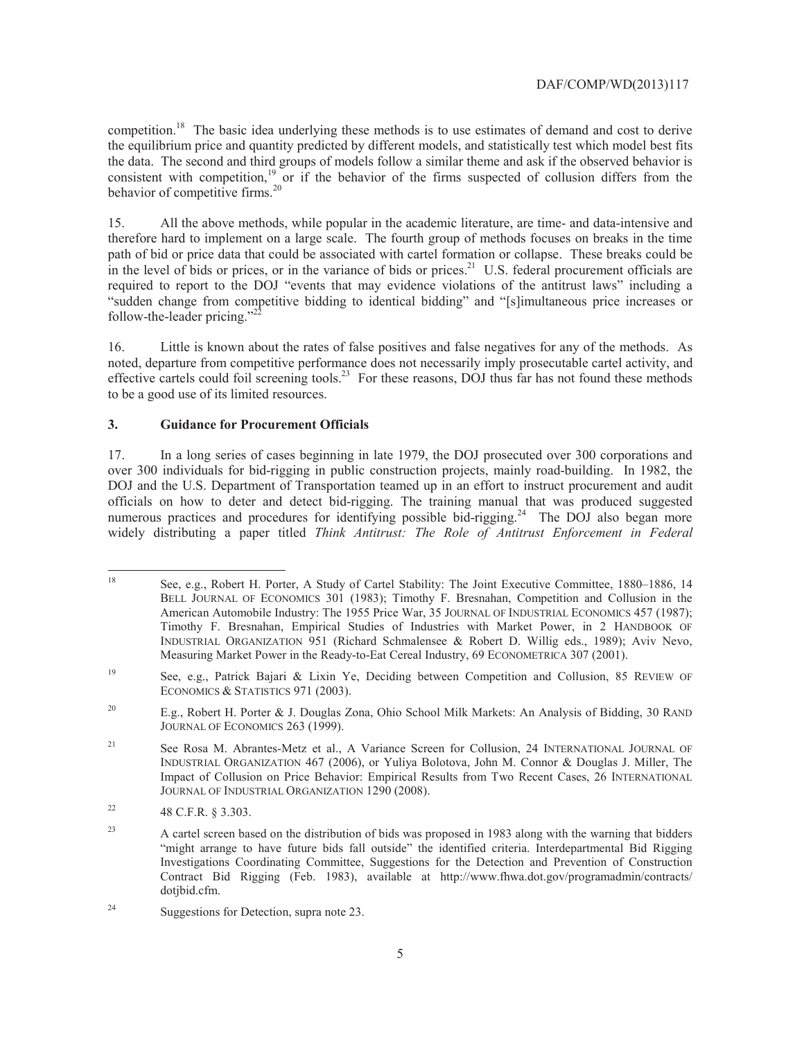#### DAF/COMP/WD(2013)117

competition.<sup>18</sup> The basic idea underlying these methods is to use estimates of demand and cost to derive the data. The second and third groups of models follow a similar theme and ask if the observed behavior is the equilibrium price and quantity predicted by different models, and statistically test which model best fits consistent with competition,<sup>19</sup> or if the behavior of the firms suspected of collusion differs from the behavior of competitive firms.<sup>20</sup>

 15. All the above methods, while popular in the academic literature, are time- and data-intensive and required to report to the DOJ "events that may evidence violations of the antitrust laws" including a therefore hard to implement on a large scale. The fourth group of methods focuses on breaks in the time path of bid or price data that could be associated with cartel formation or collapse. These breaks could be in the level of bids or prices, or in the variance of bids or prices.<sup>21</sup> U.S. federal procurement officials are "sudden change from competitive bidding to identical bidding" and "[s]imultaneous price increases or follow-the-leader pricing." $^{22}$ 

16. Little is known about the rates of false positives and false negatives for any of the methods. As noted, departure from competitive performance does not necessarily imply prosecutable cartel activity, and effective cartels could foil screening tools.<sup>23</sup> For these reasons, DOJ thus far has not found these methods to be a good use of its limited resources.

## **3. Guidance for Procurement Officials**

 over 300 individuals for bid-rigging in public construction projects, mainly road-building. In 1982, the numerous practices and procedures for identifying possible bid-rigging.<sup>24</sup> The DOJ also began more 17. In a long series of cases beginning in late 1979, the DOJ prosecuted over 300 corporations and DOJ and the U.S. Department of Transportation teamed up in an effort to instruct procurement and audit officials on how to deter and detect bid-rigging. The training manual that was produced suggested widely distributing a paper titled *Think Antitrust: The Role of Antitrust Enforcement in Federal* 

 $\overline{a}$ 18 See, e.g., Robert H. Porter, A Study of Cartel Stability: The Joint Executive Committee, 1880–1886, 14 BELL JOURNAL OF ECONOMICS 301 (1983); Timothy F. Bresnahan, Competition and Collusion in the American Automobile Industry: The 1955 Price War, 35 JOURNAL OF INDUSTRIAL ECONOMICS 457 (1987); Timothy F. Bresnahan, Empirical Studies of Industries with Market Power, in 2 HANDBOOK OF INDUSTRIAL ORGANIZATION 951 (Richard Schmalensee & Robert D. Willig eds., 1989); Aviv Nevo, Measuring Market Power in the Ready-to-Eat Cereal Industry, 69 ECONOMETRICA 307 (2001).

<sup>19</sup> ECONOMICS & STATISTICS 971 (2003). 19 See, e.g., Patrick Bajari & Lixin Ye, Deciding between Competition and Collusion, 85 REVIEW OF

 $20$ E.g., Robert H. Porter & J. Douglas Zona, Ohio School Milk Markets: An Analysis of Bidding, 30 RAND JOURNAL OF ECONOMICS 263 (1999).

 $21$ See Rosa M. Abrantes-Metz et al., A Variance Screen for Collusion, 24 INTERNATIONAL JOURNAL OF INDUSTRIAL ORGANIZATION 467 (2006), or Yuliya Bolotova, John M. Connor & Douglas J. Miller, The Impact of Collusion on Price Behavior: Empirical Results from Two Recent Cases, 26 INTERNATIONAL JOURNAL OF INDUSTRIAL ORGANIZATION 1290 (2008).

 $22$ 22 48 C.F.R. § 3.303.

 $23$ 23 A cartel screen based on the distribution of bids was proposed in 1983 along with the warning that bidders "might arrange to have future bids fall outside" the identified criteria. Interdepartmental Bid Rigging Investigations Coordinating Committee, Suggestions for the Detection and Prevention of Construction Contract Bid Rigging (Feb. 1983), available at http://www.fhwa.dot.gov/programadmin/contracts/ dotjbid.cfm.

<sup>24</sup> Suggestions for Detection, supra note 23.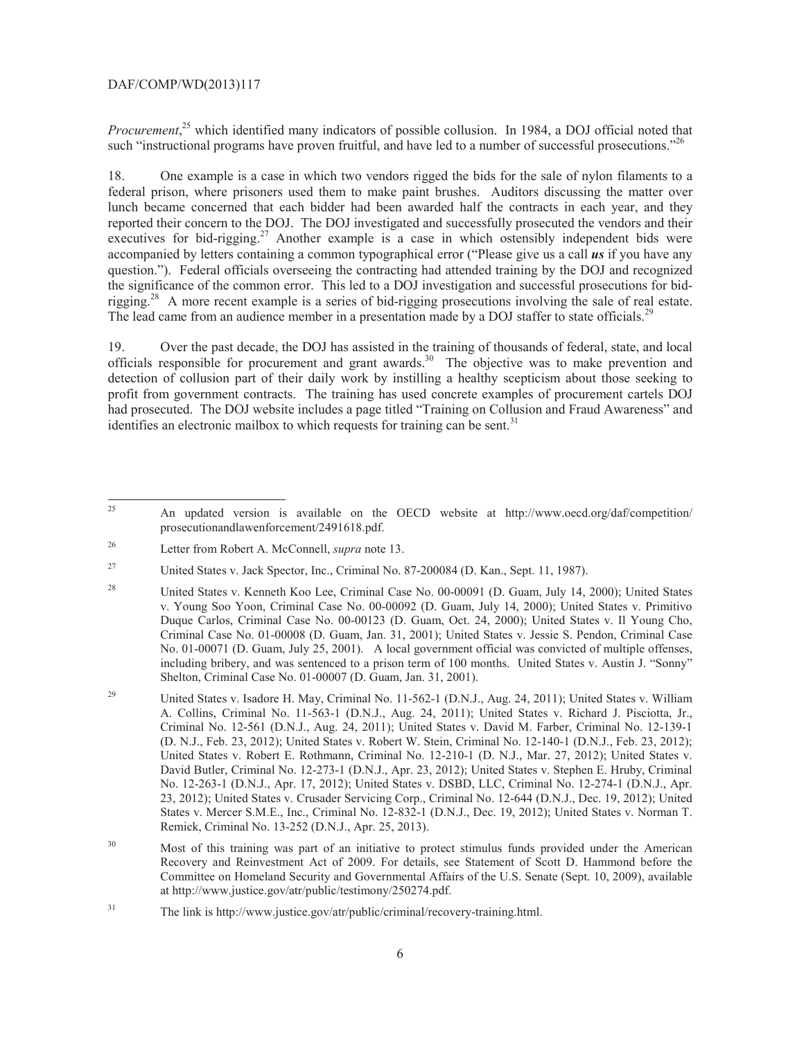#### DAF/COMP/WD(2013)117

such "instructional programs have proven fruitful, and have led to a number of successful prosecutions."<sup>26</sup> *Procurement*, 25 which identified many indicators of possible collusion. In 1984, a DOJ official noted that

rigging.<sup>28</sup> A more recent example is a series of bid-rigging prosecutions involving the sale of real estate.<br>The lead came from an audience member in a presentation made by a DOJ staffer to state officials.<sup>29</sup> 18. One example is a case in which two vendors rigged the bids for the sale of nylon filaments to a federal prison, where prisoners used them to make paint brushes. Auditors discussing the matter over lunch became concerned that each bidder had been awarded half the contracts in each year, and they reported their concern to the DOJ. The DOJ investigated and successfully prosecuted the vendors and their executives for bid-rigging.<sup>27</sup> Another example is a case in which ostensibly independent bids were accompanied by letters containing a common typographical error ("Please give us a call *us* if you have any question."). Federal officials overseeing the contracting had attended training by the DOJ and recognized the significance of the common error. This led to a DOJ investigation and successful prosecutions for bid-

19. Over the past decade, the DOJ has assisted in the training of thousands of federal, state, and local officials responsible for procurement and grant awards.<sup>30</sup> The objective was to make prevention and detection of collusion part of their daily work by instilling a healthy scepticism about those seeking to profit from government contracts. The training has used concrete examples of procurement cartels DOJ had prosecuted. The DOJ website includes a page titled "Training on Collusion and Fraud Awareness" and identifies an electronic mailbox to which requests for training can be sent.<sup>31</sup>

l

<sup>25</sup> An updated version is available on the OECD website at http://www.oecd.org/daf/competition/ prosecutionandlawenforcement/2491618.pdf.

<sup>26</sup> Letter from Robert A. McConnell, *supra* note 13.

<sup>27</sup> 27 United States v. Jack Spector, Inc., Criminal No. 87-200084 (D. Kan., Sept. 11, 1987).

<sup>28</sup>  v. Young Soo Yoon, Criminal Case No. 00-00092 (D. Guam, July 14, 2000); United States v. Primitivo 28 United States v. Kenneth Koo Lee, Criminal Case No. 00-00091 (D. Guam, July 14, 2000); United States Duque Carlos, Criminal Case No. 00-00123 (D. Guam, Oct. 24, 2000); United States v. Il Young Cho, Criminal Case No. 01-00008 (D. Guam, Jan. 31, 2001); United States v. Jessie S. Pendon, Criminal Case No. 01-00071 (D. Guam, July 25, 2001). A local government official was convicted of multiple offenses, including bribery, and was sentenced to a prison term of 100 months. United States v. Austin J. "Sonny" Shelton, Criminal Case No. 01-00007 (D. Guam, Jan. 31, 2001).

<sup>29</sup>  A. Collins, Criminal No. 11-563-1 (D.N.J., Aug. 24, 2011); United States v. Richard J. Pisciotta, Jr., (D. N.J., Feb. 23, 2012); United States v. Robert W. Stein, Criminal No. 12-140-1 (D.N.J., Feb. 23, 2012); 29 United States v. Isadore H. May, Criminal No. 11-562-1 (D.N.J., Aug. 24, 2011); United States v. William Criminal No. 12-561 (D.N.J., Aug. 24, 2011); United States v. David M. Farber, Criminal No. 12-139-1 United States v. Robert E. Rothmann, Criminal No. 12-210-1 (D. N.J., Mar. 27, 2012); United States v. David Butler, Criminal No. 12-273-1 (D.N.J., Apr. 23, 2012); United States v. Stephen E. Hruby, Criminal No. 12-263-1 (D.N.J., Apr. 17, 2012); United States v. DSBD, LLC, Criminal No. 12-274-1 (D.N.J., Apr. 23, 2012); United States v. Crusader Servicing Corp., Criminal No. 12-644 (D.N.J., Dec. 19, 2012); United States v. Mercer S.M.E., Inc., Criminal No. 12-832-1 (D.N.J., Dec. 19, 2012); United States v. Norman T. Remick, Criminal No. 13-252 (D.N.J., Apr. 25, 2013).

 $30\,$ Most of this training was part of an initiative to protect stimulus funds provided under the American Recovery and Reinvestment Act of 2009. For details, see Statement of Scott D. Hammond before the Committee on Homeland Security and Governmental Affairs of the U.S. Senate (Sept. 10, 2009), available at http://www.justice.gov/atr/public/testimony/250274.pdf.

<sup>31</sup> The link is http://www.justice.gov/atr/public/criminal/recovery-training.html.